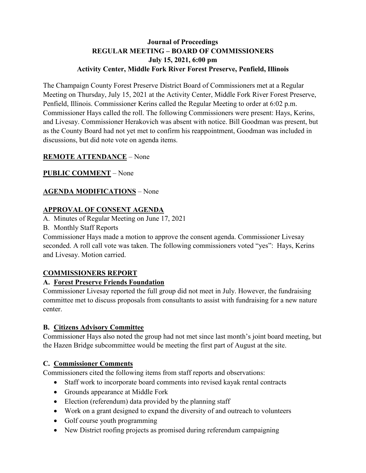# **Journal of Proceedings REGULAR MEETING – BOARD OF COMMISSIONERS July 15, 2021, 6:00 pm Activity Center, Middle Fork River Forest Preserve, Penfield, Illinois**

The Champaign County Forest Preserve District Board of Commissioners met at a Regular Meeting on Thursday, July 15, 2021 at the Activity Center, Middle Fork River Forest Preserve, Penfield, Illinois. Commissioner Kerins called the Regular Meeting to order at 6:02 p.m. Commissioner Hays called the roll. The following Commissioners were present: Hays, Kerins, and Livesay. Commissioner Herakovich was absent with notice. Bill Goodman was present, but as the County Board had not yet met to confirm his reappointment, Goodman was included in discussions, but did note vote on agenda items.

# **REMOTE ATTENDANCE** – None

**PUBLIC COMMENT** – None

# **AGENDA MODIFICATIONS** – None

### **APPROVAL OF CONSENT AGENDA**

A. Minutes of Regular Meeting on June 17, 2021

B. Monthly Staff Reports

Commissioner Hays made a motion to approve the consent agenda. Commissioner Livesay seconded. A roll call vote was taken. The following commissioners voted "yes": Hays, Kerins and Livesay. Motion carried.

### **COMMISSIONERS REPORT**

### **A. Forest Preserve Friends Foundation**

Commissioner Livesay reported the full group did not meet in July. However, the fundraising committee met to discuss proposals from consultants to assist with fundraising for a new nature center.

### **B. Citizens Advisory Committee**

Commissioner Hays also noted the group had not met since last month's joint board meeting, but the Hazen Bridge subcommittee would be meeting the first part of August at the site.

# **C. Commissioner Comments**

Commissioners cited the following items from staff reports and observations:

- Staff work to incorporate board comments into revised kayak rental contracts
- Grounds appearance at Middle Fork
- Election (referendum) data provided by the planning staff
- Work on a grant designed to expand the diversity of and outreach to volunteers
- Golf course youth programming
- New District roofing projects as promised during referendum campaigning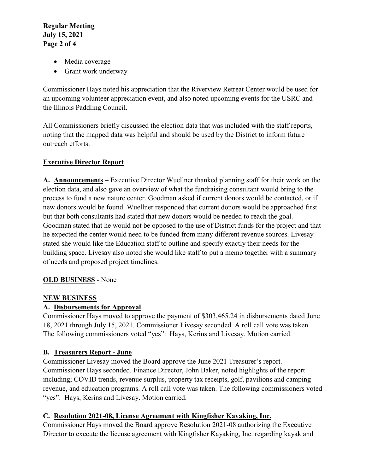**Regular Meeting July 15, 2021 Page 2 of 4**

- Media coverage
- Grant work underway

Commissioner Hays noted his appreciation that the Riverview Retreat Center would be used for an upcoming volunteer appreciation event, and also noted upcoming events for the USRC and the Illinois Paddling Council.

All Commissioners briefly discussed the election data that was included with the staff reports, noting that the mapped data was helpful and should be used by the District to inform future outreach efforts.

# **Executive Director Report**

**A. Announcements** – Executive Director Wuellner thanked planning staff for their work on the election data, and also gave an overview of what the fundraising consultant would bring to the process to fund a new nature center. Goodman asked if current donors would be contacted, or if new donors would be found. Wuellner responded that current donors would be approached first but that both consultants had stated that new donors would be needed to reach the goal. Goodman stated that he would not be opposed to the use of District funds for the project and that he expected the center would need to be funded from many different revenue sources. Livesay stated she would like the Education staff to outline and specify exactly their needs for the building space. Livesay also noted she would like staff to put a memo together with a summary of needs and proposed project timelines.

### **OLD BUSINESS** - None

### **NEW BUSINESS**

# **A. Disbursements for Approval**

Commissioner Hays moved to approve the payment of \$303,465.24 in disbursements dated June 18, 2021 through July 15, 2021. Commissioner Livesay seconded. A roll call vote was taken. The following commissioners voted "yes": Hays, Kerins and Livesay. Motion carried.

# **B. Treasurers Report - June**

Commissioner Livesay moved the Board approve the June 2021 Treasurer's report. Commissioner Hays seconded. Finance Director, John Baker, noted highlights of the report including; COVID trends, revenue surplus, property tax receipts, golf, pavilions and camping revenue, and education programs. A roll call vote was taken. The following commissioners voted "yes": Hays, Kerins and Livesay. Motion carried.

### **C. Resolution 2021-08, License Agreement with Kingfisher Kayaking, Inc.**

Commissioner Hays moved the Board approve Resolution 2021-08 authorizing the Executive Director to execute the license agreement with Kingfisher Kayaking, Inc. regarding kayak and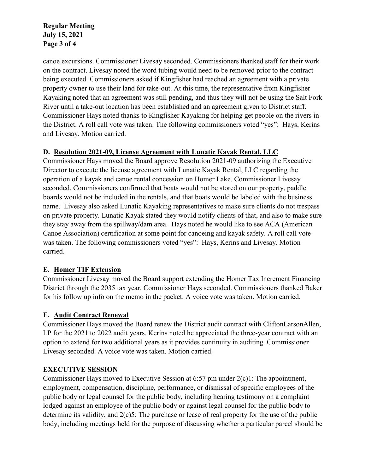### **Regular Meeting July 15, 2021 Page 3 of 4**

canoe excursions. Commissioner Livesay seconded. Commissioners thanked staff for their work on the contract. Livesay noted the word tubing would need to be removed prior to the contract being executed. Commissioners asked if Kingfisher had reached an agreement with a private property owner to use their land for take-out. At this time, the representative from Kingfisher Kayaking noted that an agreement was still pending, and thus they will not be using the Salt Fork River until a take-out location has been established and an agreement given to District staff. Commissioner Hays noted thanks to Kingfisher Kayaking for helping get people on the rivers in the District. A roll call vote was taken. The following commissioners voted "yes": Hays, Kerins and Livesay. Motion carried.

### **D. Resolution 2021-09, License Agreement with Lunatic Kayak Rental, LLC**

Commissioner Hays moved the Board approve Resolution 2021-09 authorizing the Executive Director to execute the license agreement with Lunatic Kayak Rental, LLC regarding the operation of a kayak and canoe rental concession on Homer Lake. Commissioner Livesay seconded. Commissioners confirmed that boats would not be stored on our property, paddle boards would not be included in the rentals, and that boats would be labeled with the business name. Livesay also asked Lunatic Kayaking representatives to make sure clients do not trespass on private property. Lunatic Kayak stated they would notify clients of that, and also to make sure they stay away from the spillway/dam area. Hays noted he would like to see ACA (American Canoe Association) certification at some point for canoeing and kayak safety. A roll call vote was taken. The following commissioners voted "yes": Hays, Kerins and Livesay. Motion carried.

### **E. Homer TIF Extension**

Commissioner Livesay moved the Board support extending the Homer Tax Increment Financing District through the 2035 tax year. Commissioner Hays seconded. Commissioners thanked Baker for his follow up info on the memo in the packet. A voice vote was taken. Motion carried.

### **F. Audit Contract Renewal**

Commissioner Hays moved the Board renew the District audit contract with CliftonLarsonAllen, LP for the 2021 to 2022 audit years. Kerins noted he appreciated the three-year contract with an option to extend for two additional years as it provides continuity in auditing. Commissioner Livesay seconded. A voice vote was taken. Motion carried.

### **EXECUTIVE SESSION**

Commissioner Hays moved to Executive Session at 6:57 pm under 2(c)1: The appointment, employment, compensation, discipline, performance, or dismissal of specific employees of the public body or legal counsel for the public body, including hearing testimony on a complaint lodged against an employee of the public body or against legal counsel for the public body to determine its validity, and  $2(c)$ 5: The purchase or lease of real property for the use of the public body, including meetings held for the purpose of discussing whether a particular parcel should be